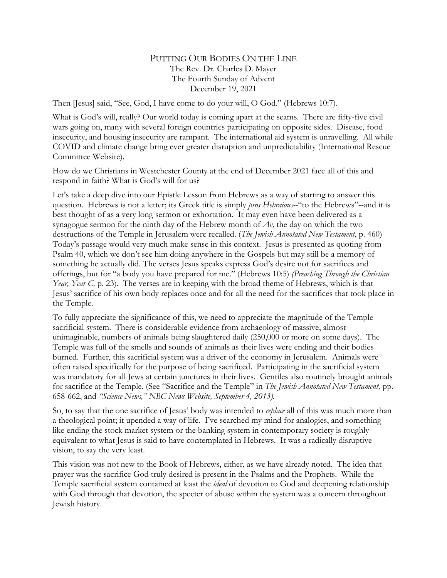## PUTTING OUR BODIES ON THE LINE The Rev. Dr. Charles D. Mayer The Fourth Sunday of Advent December 19, 2021

Then [Jesus] said, "See, God, I have come to do your will, O God." (Hebrews 10:7).

What is God's will, really? Our world today is coming apart at the seams. There are fifty-five civil wars going on, many with several foreign countries participating on opposite sides. Disease, food insecurity, and housing insecurity are rampant. The international aid system is unravelling. All while COVID and climate change bring ever greater disruption and unpredictability (International Rescue Committee Website).

How do we Christians in Westchester County at the end of December 2021 face all of this and respond in faith? What is God's will for us?

Let's take a deep dive into our Epistle Lesson from Hebrews as a way of starting to answer this question. Hebrews is not a letter; its Greek title is simply *pros Hebraious-*-"to the Hebrews"--and it is best thought of as a very long sermon or exhortation. It may even have been delivered as a synagogue sermon for the ninth day of the Hebrew month of *Av,* the day on which the two destructions of the Temple in Jerusalem were recalled. (*The Jewish Annotated New Testament*, p. 460) Today's passage would very much make sense in this context. Jesus is presented as quoting from Psalm 40, which we don't see him doing anywhere in the Gospels but may still be a memory of something he actually did. The verses Jesus speaks express God's desire not for sacrifices and offerings, but for "a body you have prepared for me." (Hebrews 10:5) *(Preaching Through the Christian Year, Year C, p.* 23). The verses are in keeping with the broad theme of Hebrews, which is that Jesus' sacrifice of his own body replaces once and for all the need for the sacrifices that took place in the Temple.

To fully appreciate the significance of this, we need to appreciate the magnitude of the Temple sacrificial system. There is considerable evidence from archaeology of massive, almost unimaginable, numbers of animals being slaughtered daily (250,000 or more on some days). The Temple was full of the smells and sounds of animals as their lives were ending and their bodies burned. Further, this sacrificial system was a driver of the economy in Jerusalem. Animals were often raised specifically for the purpose of being sacrificed. Participating in the sacrificial system was mandatory for all Jews at certain junctures in their lives. Gentiles also routinely brought animals for sacrifice at the Temple. (See "Sacrifice and the Temple" in *The Jewish Annotated New Testament,* pp. 658-662, and *"Science News," NBC News Website, September 4, 2013).*

So, to say that the one sacrifice of Jesus' body was intended to *replace* all of this was much more than a theological point; it upended a way of life. I've searched my mind for analogies, and something like ending the stock market system or the banking system in contemporary society is roughly equivalent to what Jesus is said to have contemplated in Hebrews. It was a radically disruptive vision, to say the very least.

This vision was not new to the Book of Hebrews, either, as we have already noted. The idea that prayer was the sacrifice God truly desired is present in the Psalms and the Prophets. While the Temple sacrificial system contained at least the *ideal* of devotion to God and deepening relationship with God through that devotion, the specter of abuse within the system was a concern throughout Jewish history.